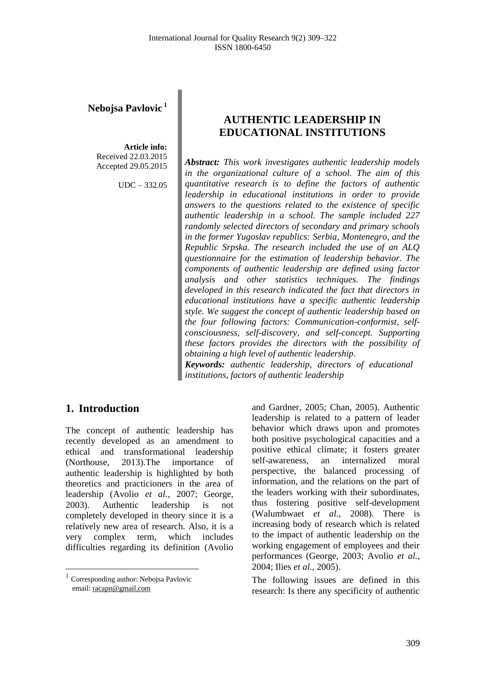**Nebojsa Pavlovic <sup>1</sup>**

**Article info:** Received 22.03.2015 Accepted 29.05.2015

UDC – 332.05

# **AUTHENTIC LEADERSHIP IN EDUCATIONAL INSTITUTIONS**

*Abstract: This work investigates authentic leadership models in the organizational culture of a school. The aim of this quantitative research is to define the factors of authentic leadership in educational institutions in order to provide answers to the questions related to the existence of specific authentic leadership in a school. The sample included 227 randomly selected directors of secondary and primary schools in the former Yugoslav republics: Serbia, Montenegro, and the Republic Srpska. The research included the use of an ALQ questionnaire for the estimation of leadership behavior. The components of authentic leadership are defined using factor analysis and other statistics techniques. The findings developed in this research indicated the fact that directors in educational institutions have a specific authentic leadership style. We suggest the concept of authentic leadership based on the four following factors: Communication-conformist, selfconsciousness, self-discovery, and self-concept. Supporting these factors provides the directors with the possibility of obtaining a high level of authentic leadership. Keywords: authentic leadership, directors of educational* 

*institutions, factors of authentic leadership*

### **1. Introduction<sup>1</sup>**

The concept of authentic leadership has recently developed as an amendment to ethical and transformational leadership (Northouse, 2013).The importance of authentic leadership is highlighted by both theoretics and practicioners in the area of leadership (Avolio *et al.*, 2007; George, 2003). Authentic leadership is not completely developed in theory since it is a relatively new area of research. Also, it is a very complex term, which includes difficulties regarding its definition (Avolio

 $\overline{a}$ 

and Gardner, 2005; Chan, 2005). Authentic leadership is related to a pattern of leader behavior which draws upon and promotes both positive psychological capacities and a positive ethical climate; it fosters greater self-awareness, an internalized moral perspective, the balanced processing of information, and the relations on the part of the leaders working with their subordinates, thus fostering positive self-development (Walumbwaet *et al.*, 2008). There is increasing body of research which is related to the impact of authentic leadership on the working engagement of employees and their performances (George, 2003; Avolio *et al.*, 2004; Ilies *et al.*, 2005).

The following issues are defined in this research: Is there any specificity of authentic

<sup>&</sup>lt;sup>1</sup> Corresponding author: Nebojsa Pavlovic email[: racapn@gmail.com](mailto:racapn@gmail.com)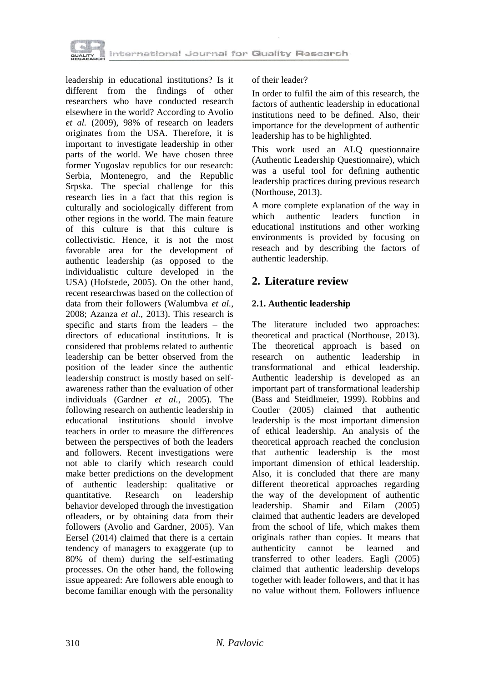

leadership in educational institutions? Is it different from the findings of other researchers who have conducted research elsewhere in the world? According to Avolio *et al.* (2009), 98% of research on leaders originates from the USA. Therefore, it is important to investigate leadership in other parts of the world. We have chosen three former Yugoslav republics for our research: Serbia, Montenegro, and the Republic Srpska. The special challenge for this research lies in a fact that this region is culturally and sociologically different from other regions in the world. The main feature of this culture is that this culture is collectivistic. Hence, it is not the most favorable area for the development of authentic leadership (as opposed to the individualistic culture developed in the USA) (Hofstede, 2005). On the other hand, recent researchwas based on the collection of data from their followers (Walumbva *et al.*, 2008; Azanza *et al.*, 2013). This research is specific and starts from the leaders – the directors of educational institutions. It is considered that problems related to authentic leadership can be better observed from the position of the leader since the authentic leadership construct is mostly based on selfawareness rather than the evaluation of other individuals (Gardner *et al.*, 2005). The following research on authentic leadership in educational institutions should involve teachers in order to measure the differences between the perspectives of both the leaders and followers. Recent investigations were not able to clarify which research could make better predictions on the development of authentic leadership: qualitative or quantitative. Research on leadership behavior developed through the investigation ofleaders, or by obtaining data from their followers (Avolio and Gardner, 2005). Van Eersel (2014) claimed that there is a certain tendency of managers to exaggerate (up to 80% of them) during the self-estimating processes. On the other hand, the following issue appeared: Are followers able enough to become familiar enough with the personality

of their leader?

In order to fulfil the aim of this research, the factors of authentic leadership in educational institutions need to be defined. Also, their importance for the development of authentic leadership has to be highlighted.

This work used an ALQ questionnaire (Authentic Leadership Questionnaire), which was a useful tool for defining authentic leadership practices during previous research (Northouse, 2013).

A more complete explanation of the way in which authentic leaders function in educational institutions and other working environments is provided by focusing on reseach and by describing the factors of authentic leadership.

# **2. Literature review**

### **2.1. Authentic leadership**

The literature included two approaches: theoretical and practical (Northouse, 2013). The theoretical approach is based on<br>research on authentic leadership in research on authentic leadership in transformational and ethical leadership. Authentic leadership is developed as an important part of transformational leadership (Bass and Steidlmeier, 1999). Robbins and Coutler (2005) claimed that authentic leadership is the most important dimension of ethical leadership. An analysis of the theoretical approach reached the conclusion that authentic leadership is the most important dimension of ethical leadership. Also, it is concluded that there are many different theoretical approaches regarding the way of the development of authentic leadership. Shamir and Eilam (2005) claimed that authentic leaders are developed from the school of life, which makes them originals rather than copies. It means that authenticity cannot be learned and transferred to other leaders. Eagli (2005) claimed that authentic leadership develops together with leader followers, and that it has no value without them. Followers influence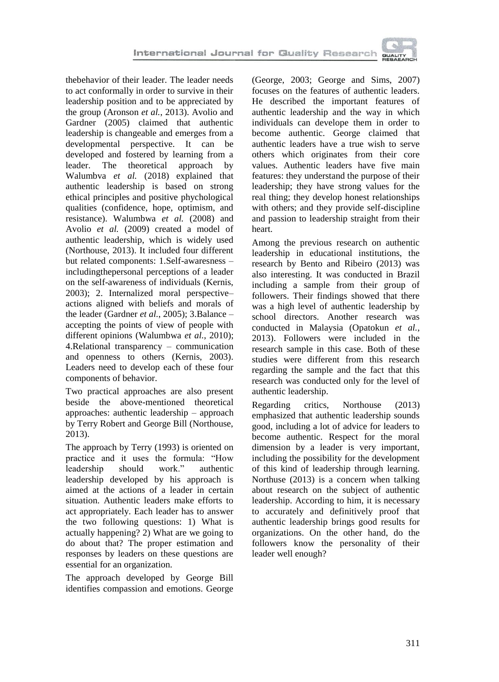

thebehavior of their leader. The leader needs to act conformally in order to survive in their leadership position and to be appreciated by the group (Aronson *et al.*, 2013). Avolio and Gardner (2005) claimed that authentic leadership is changeable and emerges from a developmental perspective. It can be developed and fostered by learning from a leader. The theoretical approach by Walumbva *et al.* (2018) explained that authentic leadership is based on strong ethical principles and positive phychological qualities (confidence, hope, optimism, and resistance). Walumbwa *et al.* (2008) and Avolio *et al.* (2009) created a model of authentic leadership, which is widely used (Northouse, 2013). It included four different but related components: 1.Self-awaresness – includingthepersonal perceptions of a leader on the self-awareness of individuals (Kernis, 2003); 2. Internalized moral perspective– actions aligned with beliefs and morals of the leader (Gardner *et al.*, 2005); 3.Balance – accepting the points of view of people with different opinions (Walumbwa *et al.*, 2010); 4.Relational transparency – communication and openness to others (Kernis, 2003). Leaders need to develop each of these four components of behavior.

Two practical approaches are also present beside the above-mentioned theoretical approaches: authentic leadership – approach by Terry Robert and George Bill (Northouse, 2013).

The approach by Terry (1993) is oriented on practice and it uses the formula: "How leadership should work." authentic leadership developed by his approach is aimed at the actions of a leader in certain situation. Authentic leaders make efforts to act appropriately. Each leader has to answer the two following questions: 1) What is actually happening? 2) What are we going to do about that? The proper estimation and responses by leaders on these questions are essential for an organization.

The approach developed by George Bill identifies compassion and emotions. George (George, 2003; George and Sims, 2007) focuses on the features of authentic leaders. He described the important features of authentic leadership and the way in which individuals can develope them in order to become authentic. George claimed that authentic leaders have a true wish to serve others which originates from their core values. Authentic leaders have five main features: they understand the purpose of their leadership; they have strong values for the real thing; they develop honest relationships with others; and they provide self-discipline and passion to leadership straight from their heart.

Among the previous research on authentic leadership in educational institutions, the research by Bento and Ribeiro (2013) was also interesting. It was conducted in Brazil including a sample from their group of followers. Their findings showed that there was a high level of authentic leadership by school directors. Another research was conducted in Malaysia (Opatokun *et al.*, 2013). Followers were included in the research sample in this case. Both of these studies were different from this research regarding the sample and the fact that this research was conducted only for the level of authentic leadership.

Regarding critics, Northouse (2013) emphasized that authentic leadership sounds good, including a lot of advice for leaders to become authentic. Respect for the moral dimension by a leader is very important, including the possibility for the development of this kind of leadership through learning. Northuse (2013) is a concern when talking about research on the subject of authentic leadership. According to him, it is necessary to accurately and definitively proof that authentic leadership brings good results for organizations. On the other hand, do the followers know the personality of their leader well enough?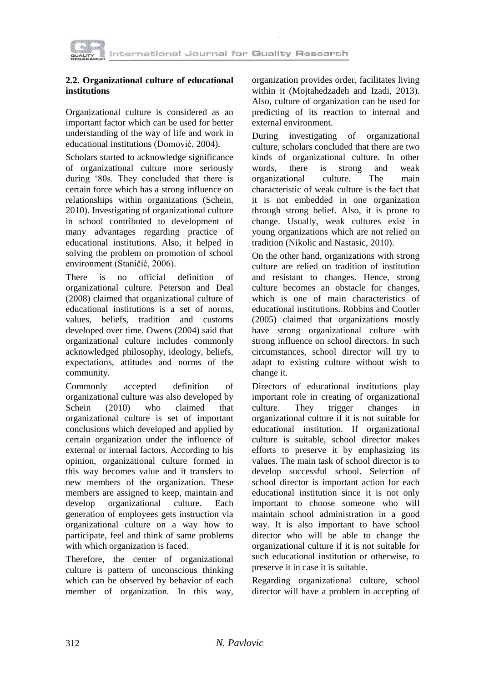

#### **2.2. Organizational culture of educational institutions**

Organizational culture is considered as an important factor which can be used for better understanding of the way of life and work in educational institutions (Domović, 2004).

Scholars started to acknowledge significance of organizational culture more seriously during "80s. They concluded that there is certain force which has a strong influence on relationships within organizations (Schein, 2010). Investigating of organizational culture in school contributed to development of many advantages regarding practice of educational institutions. Also, it helped in solving the problem on promotion of school environment (Staničić, 2006).

There is no official definition of organizational culture. Peterson and Deal (2008) claimed that organizational culture of educational institutions is a set of norms, values, beliefs, tradition and customs developed over time. Owens (2004) said that organizational culture includes commonly acknowledged philosophy, ideology, beliefs, expectations, attitudes and norms of the community.

Commonly accepted definition of organizational culture was also developed by Schein (2010) who claimed that organizational culture is set of important conclusions which developed and applied by certain organization under the influence of external or internal factors. According to his opinion, organizational culture formed in this way becomes value and it transfers to new members of the organization. These members are assigned to keep, maintain and develop organizational culture. Each generation of employees gets instruction via organizational culture on a way how to participate, feel and think of same problems with which organization is faced.

Therefore, the center of organizational culture is pattern of unconscious thinking which can be observed by behavior of each member of organization. In this way,

organization provides order, facilitates living within it (Moitahedzadeh and Izadi, 2013). Also, culture of organization can be used for predicting of its reaction to internal and external environment.

During investigating of organizational culture, scholars concluded that there are two kinds of organizational culture. In other words, there is strong and weak organizational culture. The main characteristic of weak culture is the fact that it is not embedded in one organization through strong belief. Also, it is prone to change. Usually, weak cultures exist in young organizations which are not relied on tradition (Nikolic and Nastasic, 2010).

On the other hand, organizations with strong culture are relied on tradition of institution and resistant to changes. Hence, strong culture becomes an obstacle for changes, which is one of main characteristics of educational institutions. Robbins and Coutler (2005) claimed that organizations mostly have strong organizational culture with strong influence on school directors. In such circumstances, school director will try to adapt to existing culture without wish to change it.

Directors of educational institutions play important role in creating of organizational culture. They trigger changes in organizational culture if it is not suitable for educational institution. If organizational culture is suitable, school director makes efforts to preserve it by emphasizing its values. The main task of school director is to develop successful school. Selection of school director is important action for each educational institution since it is not only important to choose someone who will maintain school administration in a good way. It is also important to have school director who will be able to change the organizational culture if it is not suitable for such educational institution or otherwise, to preserve it in case it is suitable.

Regarding organizational culture, school director will have a problem in accepting of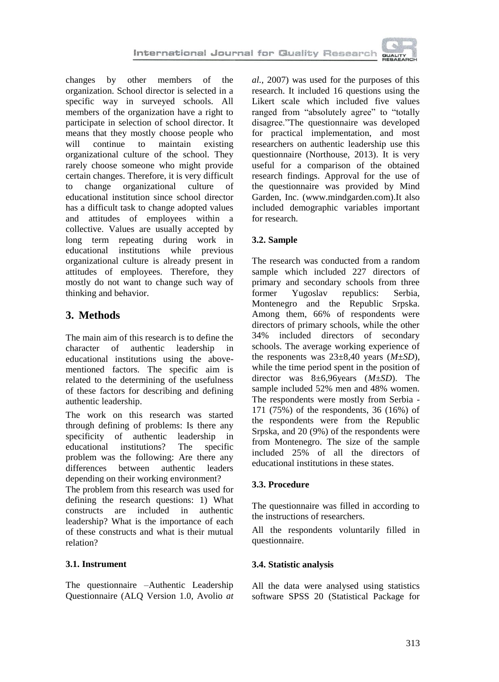changes by other members of the organization. School director is selected in a specific way in surveyed schools. All members of the organization have a right to participate in selection of school director. It means that they mostly choose people who will continue to maintain existing organizational culture of the school. They rarely choose someone who might provide certain changes. Therefore, it is very difficult to change organizational culture of educational institution since school director has a difficult task to change adopted values and attitudes of employees within a collective. Values are usually accepted by long term repeating during work in educational institutions while previous organizational culture is already present in attitudes of employees. Therefore, they mostly do not want to change such way of thinking and behavior.

# **3. Methods**

The main aim of this research is to define the character of authentic leadership in educational institutions using the abovementioned factors. The specific aim is related to the determining of the usefulness of these factors for describing and defining authentic leadership.

The work on this research was started through defining of problems: Is there any specificity of authentic leadership in<br>educational institutions? The specific educational institutions? The problem was the following: Are there any differences between authentic leaders depending on their working environment?

The problem from this research was used for defining the research questions: 1) What<br>constructs are included in authentic constructs leadership? What is the importance of each of these constructs and what is their mutual relation?

### **3.1. Instrument**

The questionnaire –Authentic Leadership Questionnaire (ALQ Version 1.0, Avolio *at*  *al.*, 2007) was used for the purposes of this research. It included 16 questions using the Likert scale which included five values ranged from "absolutely agree" to "totally disagree."The questionnaire was developed for practical implementation, and most researchers on authentic leadership use this questionnaire (Northouse, 2013). It is very useful for a comparison of the obtained research findings. Approval for the use of the questionnaire was provided by Mind Garden, Inc. (www.mindgarden.com).It also included demographic variables important for research.

### **3.2. Sample**

The research was conducted from a random sample which included 227 directors of primary and secondary schools from three former Yugoslav republics: Serbia, Montenegro and the Republic Srpska. Among them, 66% of respondents were directors of primary schools, while the other 34% included directors of secondary schools. The average working experience of the responents was 23±8,40 years (*M±SD*), while the time period spent in the position of director was 8±6,96years (*M±SD*). The sample included 52% men and 48% women. The respondents were mostly from Serbia - 171 (75%) of the respondents, 36 (16%) of the respondents were from the Republic Srpska, and 20 (9%) of the respondents were from Montenegro. The size of the sample included 25% of all the directors of educational institutions in these states.

### **3.3. Procedure**

The questionnaire was filled in according to the instructions of researchers.

All the respondents voluntarily filled in questionnaire.

### **3.4. Statistic analysis**

All the data were analysed using statistics software SPSS 20 (Statistical Package for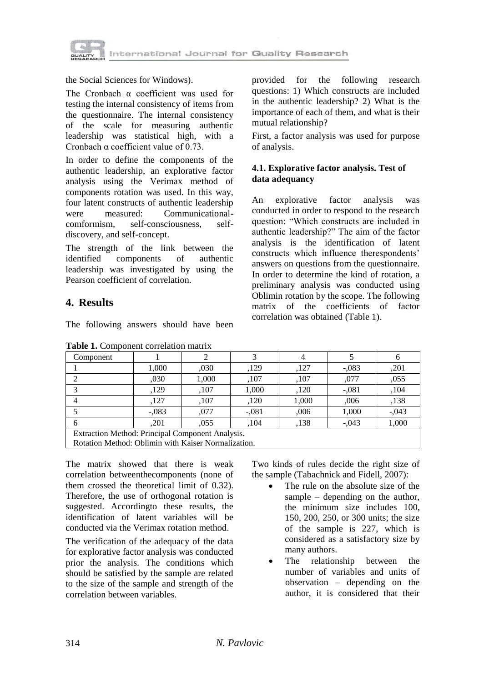

the Social Sciences for Windows).

The Cronbach α coefficient was used for testing the internal consistency of items from the questionnaire. The internal consistency of the scale for measuring authentic leadership was statistical high, with a Cronbach α coefficient value of 0.73.

In order to define the components of the authentic leadership, an explorative factor analysis using the Verimax method of components rotation was used. In this way, four latent constructs of authentic leadership were measured: Communicationalcomformism, self-consciousness, selfdiscovery, and self-concept.

The strength of the link between the identified components of authentic components of authentic leadership was investigated by using the Pearson coefficient of correlation.

# **4. Results**

The following answers should have been

Component 1 2 3 4 5 6 1 1,000 ,030 ,127 ,127 ,083 ,201 107 ,030 | 1,000 | 1,007 | 055 104, | 90, | 90, | 900, | 91,07 | 900, | 91,104 | 92, | 93, | 9 138, | 1,000 | 1,000 ,127 | 1,007 ,107 | 1,000 | 006 | 138 5 -,083 | 077 | -,081 | 0.06 | 1,000 | -,043 6 ,201 ,055 ,104 ,138 -,043 1,000 Extraction Method: Principal Component Analysis. Rotation Method: Oblimin with Kaiser Normalization.

**Table 1.** Component correlation matrix

The matrix showed that there is weak correlation betweenthecomponents (none of them crossed the theoretical limit of 0.32). Therefore, the use of orthogonal rotation is suggested. Accordingto these results, the identification of latent variables will be conducted via the Verimax rotation method.

The verification of the adequacy of the data for explorative factor analysis was conducted prior the analysis. The conditions which should be satisfied by the sample are related to the size of the sample and strength of the correlation between variables.

Two kinds of rules decide the right size of the sample (Tabachnick and Fidell, 2007):

provided for the following research questions: 1) Which constructs are included in the authentic leadership? 2) What is the importance of each of them, and what is their

First, a factor analysis was used for purpose

**4.1. Explorative factor analysis. Test of** 

An explorative factor analysis was conducted in order to respond to the research question: "Which constructs are included in authentic leadership?" The aim of the factor analysis is the identification of latent constructs which influence therespondents' answers on questions from the questionnaire. In order to determine the kind of rotation, a preliminary analysis was conducted using Oblimin rotation by the scope. The following matrix of the coefficients of factor

correlation was obtained (Table 1).

mutual relationship?

of analysis.

**data adequancy**

- The rule on the absolute size of the sample – depending on the author, the minimum size includes 100, 150, 200, 250, or 300 units; the size of the sample is 227, which is considered as a satisfactory size by many authors.
- The relationship between the number of variables and units of observation – depending on the author, it is considered that their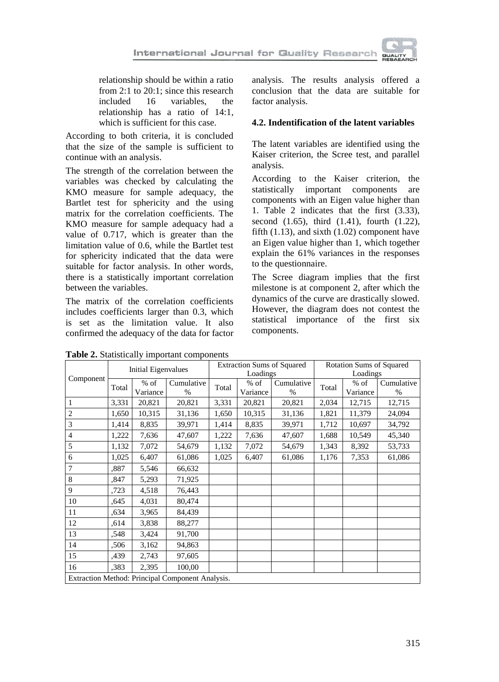

relationship should be within a ratio from 2:1 to 20:1; since this research included 16 variables, the relationship has a ratio of 14:1, which is sufficient for this case.

According to both criteria, it is concluded that the size of the sample is sufficient to continue with an analysis.

The strength of the correlation between the variables was checked by calculating the KMO measure for sample adequacy, the Bartlet test for sphericity and the using matrix for the correlation coefficients. The KMO measure for sample adequacy had a value of 0.717, which is greater than the limitation value of 0.6, while the Bartlet test for sphericity indicated that the data were suitable for factor analysis. In other words, there is a statistically important correlation between the variables.

The matrix of the correlation coefficients includes coefficients larger than 0.3, which is set as the limitation value. It also confirmed the adequacy of the data for factor analysis. The results analysis offered a conclusion that the data are suitable for factor analysis.

#### **4.2. Indentification of the latent variables**

The latent variables are identified using the Kaiser criterion, the Scree test, and parallel analysis.

According to the Kaiser criterion, the statistically important components are components with an Eigen value higher than 1. Table 2 indicates that the first (3.33), second  $(1.65)$ , third  $(1.41)$ , fourth  $(1.22)$ , fifth (1.13), and sixth (1.02) component have an Eigen value higher than 1, which together explain the 61% variances in the responses to the questionnaire.

The Scree diagram implies that the first milestone is at component 2, after which the dynamics of the curve are drastically slowed. However, the diagram does not contest the statistical importance of the first six components.

|                                                  |       | <b>Initial Eigenvalues</b> |               |       |          | <b>Extraction Sums of Squared</b> | Rotation Sums of Squared |          |            |  |
|--------------------------------------------------|-------|----------------------------|---------------|-------|----------|-----------------------------------|--------------------------|----------|------------|--|
| Component                                        |       |                            |               |       | Loadings |                                   | Loadings                 |          |            |  |
|                                                  | Total | $%$ of                     | Cumulative    | Total | $%$ of   | Cumulative                        | Total                    | $%$ of   | Cumulative |  |
|                                                  |       | Variance                   | $\frac{0}{0}$ |       | Variance | $\%$                              |                          | Variance | %          |  |
| $\vert$ 1                                        | 3,331 | 20,821                     | 20,821        | 3,331 | 20,821   | 20,821                            | 2,034                    | 12,715   | 12,715     |  |
| $\overline{\mathbf{c}}$                          | 1,650 | 10,315                     | 31,136        | 1,650 | 10,315   | 31,136                            | 1,821                    | 11,379   | 24,094     |  |
| 3                                                | 1,414 | 8,835                      | 39,971        | 1,414 | 8,835    | 39,971                            | 1,712                    | 10,697   | 34,792     |  |
| $\overline{4}$                                   | 1,222 | 7,636                      | 47,607        | 1,222 | 7,636    | 47,607                            | 1,688                    | 10,549   | 45,340     |  |
| 5                                                | 1,132 | 7,072                      | 54,679        | 1,132 | 7,072    | 54,679                            | 1,343                    | 8,392    | 53,733     |  |
| 6                                                | 1,025 | 6,407                      | 61,086        | 1,025 | 6,407    | 61,086                            | 1,176                    | 7,353    | 61,086     |  |
| 7                                                | .887  | 5,546                      | 66,632        |       |          |                                   |                          |          |            |  |
| $\,8\,$                                          | .847  | 5,293                      | 71,925        |       |          |                                   |                          |          |            |  |
| 9                                                | .723  | 4,518                      | 76,443        |       |          |                                   |                          |          |            |  |
| 10                                               | .645  | 4,031                      | 80,474        |       |          |                                   |                          |          |            |  |
| 11                                               | .634  | 3,965                      | 84,439        |       |          |                                   |                          |          |            |  |
| 12                                               | .614  | 3,838                      | 88,277        |       |          |                                   |                          |          |            |  |
| 13                                               | .548  | 3,424                      | 91,700        |       |          |                                   |                          |          |            |  |
| 14                                               | .506  | 3,162                      | 94,863        |       |          |                                   |                          |          |            |  |
| 15                                               | ,439  | 2,743                      | 97,605        |       |          |                                   |                          |          |            |  |
| 16                                               | .383  | 2,395                      | 100,00        |       |          |                                   |                          |          |            |  |
| Extraction Method: Principal Component Analysis. |       |                            |               |       |          |                                   |                          |          |            |  |

**Table 2.** Statistically important components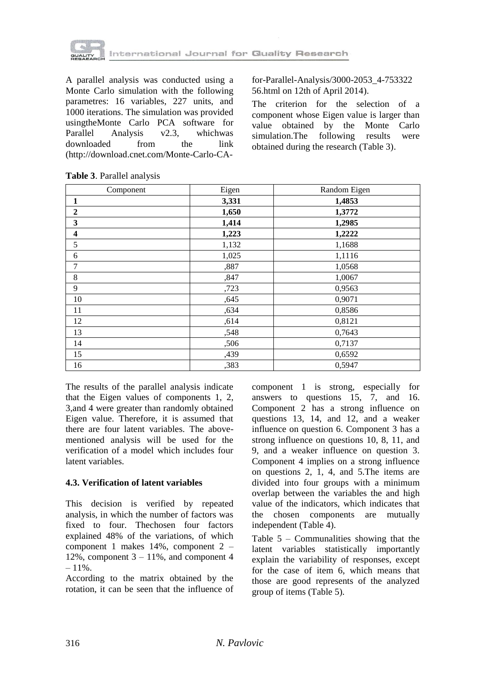

A parallel analysis was conducted using a Monte Carlo simulation with the following parametres: 16 variables, 227 units, and 1000 iterations. The simulation was provided usingtheMonte Carlo PCA software for<br>Parallel Analysis v2.3, whichwas Parallel Analysis v2.3, whichwas downloaded from the link (http://download.cnet.com/Monte-Carlo-CA-

for-Parallel-Analysis/3000-2053\_4-753322 56.html on 12th of April 2014).

The criterion for the selection of a component whose Eigen value is larger than value obtained by the Monte Carlo simulation.The following results were obtained during the research (Table 3).

| Component        | Eigen | Random Eigen |
|------------------|-------|--------------|
| 1                | 3,331 | 1,4853       |
| $\boldsymbol{2}$ | 1,650 | 1,3772       |
| 3                | 1,414 | 1,2985       |
| 4                | 1,223 | 1,2222       |
| 5                | 1,132 | 1,1688       |
| 6                | 1,025 | 1,1116       |
| $7\phantom{.0}$  | ,887  | 1,0568       |
| 8                | ,847  | 1,0067       |
| 9                | ,723  | 0,9563       |
| 10               | ,645  | 0,9071       |
| 11               | ,634  | 0,8586       |
| 12               | ,614  | 0,8121       |
| 13               | ,548  | 0,7643       |
| 14               | ,506  | 0,7137       |
| 15               | ,439  | 0,6592       |
| 16               | ,383  | 0,5947       |

| <b>Table 3. Parallel analysis</b> |  |
|-----------------------------------|--|
|-----------------------------------|--|

The results of the parallel analysis indicate that the Eigen values of components 1, 2, 3,and 4 were greater than randomly obtained Eigen value. Therefore, it is assumed that there are four latent variables. The abovementioned analysis will be used for the verification of a model which includes four latent variables.

### **4.3. Verification of latent variables**

This decision is verified by repeated analysis, in which the number of factors was fixed to four. Thechosen four factors explained 48% of the variations, of which component 1 makes 14%, component 2 – 12%, component  $3 - 11\%$ , and component 4  $-11\%$ .

According to the matrix obtained by the rotation, it can be seen that the influence of component 1 is strong, especially for answers to questions 15, 7, and 16. Component 2 has a strong influence on questions 13, 14, and 12, and a weaker influence on question 6. Component 3 has a strong influence on questions 10, 8, 11, and 9, and a weaker influence on question 3. Component 4 implies on a strong influence on questions 2, 1, 4, and 5.The items are divided into four groups with a minimum overlap between the variables the and high value of the indicators, which indicates that the chosen components are mutually independent (Table 4).

Table 5 – Communalities showing that the latent variables statistically importantly explain the variability of responses, except for the case of item 6, which means that those are good represents of the analyzed group of items (Table 5).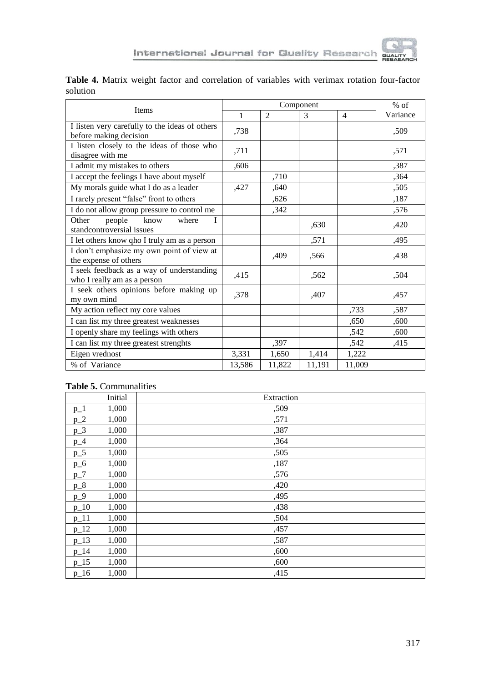

|                                                                          |              | $%$ of |               |                |          |
|--------------------------------------------------------------------------|--------------|--------|---------------|----------------|----------|
| Items                                                                    | $\mathbf{1}$ | 2      | $\mathcal{R}$ | $\overline{4}$ | Variance |
| I listen very carefully to the ideas of others<br>before making decision | ,738         |        |               |                | ,509     |
| I listen closely to the ideas of those who<br>disagree with me           | ,711         |        |               |                | .571     |
| I admit my mistakes to others                                            | ,606         |        |               |                | .387     |
| I accept the feelings I have about myself                                |              | .710   |               |                | .364     |
| My morals guide what I do as a leader                                    | ,427         | ,640   |               |                | ,505     |
| I rarely present "false" front to others                                 |              | .626   |               |                | ,187     |
| I do not allow group pressure to control me                              |              | ,342   |               |                | ,576     |
| know<br>people<br>Other<br>where<br>I<br>standcontroversial issues       |              |        | .630          |                | ,420     |
| I let others know qho I truly am as a person                             |              |        | ,571          |                | ,495     |
| I don't emphasize my own point of view at<br>the expense of others       |              | ,409   | ,566          |                | ,438     |
| I seek feedback as a way of understanding<br>who I really am as a person | ,415         |        | .562          |                | .504     |
| I seek others opinions before making up<br>my own mind                   | .378         |        | ,407          |                | ,457     |
| My action reflect my core values                                         |              |        |               | .733           | .587     |
| I can list my three greatest weaknesses                                  |              |        |               | .650           | ,600     |
| I openly share my feelings with others                                   |              |        |               | ,542           | ,600     |
| I can list my three greatest strenghts                                   |              | ,397   |               | ,542           | ,415     |
| Eigen vrednost                                                           | 3,331        | 1,650  | 1,414         | 1,222          |          |
| % of Variance                                                            | 13,586       | 11,822 | 11,191        | 11,009         |          |

|          |  |  | Table 4. Matrix weight factor and correlation of variables with verimax rotation four-factor |  |  |  |  |
|----------|--|--|----------------------------------------------------------------------------------------------|--|--|--|--|
| solution |  |  |                                                                                              |  |  |  |  |

### **Table 5.** Communalities

|           | Initial | Extraction |
|-----------|---------|------------|
| $p_1$     | 1,000   | ,509       |
| $p_2$     | 1,000   | ,571       |
| $p_3$     | 1,000   | ,387       |
| $p_{-}4$  | 1,000   | ,364       |
| $p_5$     | 1,000   | ,505       |
| $p_6$     | 1,000   | ,187       |
| $p_7$     | 1,000   | ,576       |
| $p_8$     | 1,000   | ,420       |
| $p_9$     | 1,000   | ,495       |
| $p_{-}10$ | 1,000   | ,438       |
| $p_{11}$  | 1,000   | ,504       |
| $p_{12}$  | 1,000   | ,457       |
| $p_13$    | 1,000   | ,587       |
| $p_1$ 14  | 1,000   | ,600       |
| $p_{15}$  | 1,000   | ,600       |
| $p_{16}$  | 1,000   | ,415       |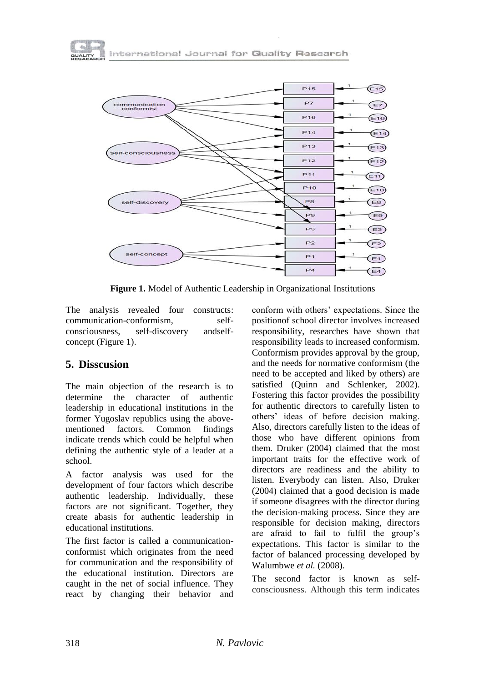



**Figure 1.** Model of Authentic Leadership in Organizational Institutions

The analysis revealed four constructs: communication-conformism, selfconsciousness, self-discovery andselfconcept (Figure 1).

# **5. Disscusion**

The main objection of the research is to determine the character of authentic leadership in educational institutions in the former Yugoslav republics using the abovementioned factors. Common findings indicate trends which could be helpful when defining the authentic style of a leader at a school.

A factor analysis was used for the development of four factors which describe authentic leadership. Individually, these factors are not significant. Together, they create abasis for authentic leadership in educational institutions.

The first factor is called a communicationconformist which originates from the need for communication and the responsibility of the educational institution. Directors are caught in the net of social influence. They react by changing their behavior and conform with others" expectations. Since the positionof school director involves increased responsibility, researches have shown that responsibility leads to increased conformism. Conformism provides approval by the group, and the needs for normative conformism (the need to be accepted and liked by others) are satisfied (Quinn and Schlenker, 2002). Fostering this factor provides the possibility for authentic directors to carefully listen to others" ideas of before decision making. Also, directors carefully listen to the ideas of those who have different opinions from them. Druker (2004) claimed that the most important traits for the effective work of directors are readiness and the ability to listen. Everybody can listen. Also, Druker (2004) claimed that a good decision is made if someone disagrees with the director during the decision-making process. Since they are responsible for decision making, directors are afraid to fail to fulfil the group"s expectations. This factor is similar to the factor of balanced processing developed by Walumbwe *et al.* (2008).

The second factor is known as selfconsciousness. Although this term indicates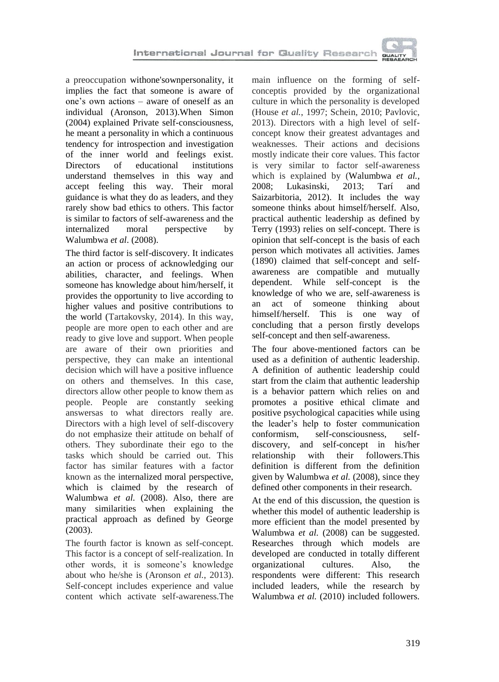

a preoccupation withone'sownpersonality, it implies the fact that someone is aware of one"s own actions – aware of oneself as an individual (Aronson, 2013).When Simon (2004) explained Private self-consciousness, he meant a personality in which a continuous tendency for introspection and investigation of the inner world and feelings exist. Directors of educational institutions understand themselves in this way and accept feeling this way. Their moral guidance is what they do as leaders, and they rarely show bad ethics to others. This factor is similar to factors of self-awareness and the internalized moral perspective by Walumbwa *et al*. (2008).

The third factor is self-discovery. It indicates an action or process of acknowledging our abilities, character, and feelings. When someone has knowledge about him/herself, it provides the opportunity to live according to higher values and positive contributions to the world (Tartakovsky, 2014). In this way, people are more open to each other and are ready to give love and support. When people are aware of their own priorities and perspective, they can make an intentional decision which will have a positive influence on others and themselves. In this case, directors allow other people to know them as people. People are constantly seeking answersas to what directors really are. Directors with a high level of self-discovery do not emphasize their attitude on behalf of others. They subordinate their ego to the tasks which should be carried out. This factor has similar features with a factor known as the internalized moral perspective, which is claimed by the research of Walumbwa *et al.* (2008). Also, there are many similarities when explaining the practical approach as defined by George (2003).

The fourth factor is known as self-concept. This factor is a concept of self-realization. In other words, it is someone"s knowledge about who he/she is (Aronson *et al.*, 2013). Self-concept includes experience and value content which activate self-awareness.The

main influence on the forming of selfconceptis provided by the organizational culture in which the personality is developed (House *et al.*, 1997; Schein, 2010; Pavlovic, 2013). Directors with a high level of selfconcept know their greatest advantages and weaknesses. Their actions and decisions mostly indicate their core values. This factor is very similar to factor self-awareness which is explained by (Walumbwa *et al.,* 2008; Lukasinski, 2013; Tarí and Saizarbitoria, 2012). It includes the way someone thinks about himself/herself. Also, practical authentic leadership as defined by Terry (1993) relies on self-concept. There is opinion that self-concept is the basis of each person which motivates all activities. James (1890) claimed that self-concept and selfawareness are compatible and mutually dependent. While self-concept is the knowledge of who we are, self-awareness is an act of someone thinking about himself/herself. This is one way of concluding that a person firstly develops self-concept and then self-awareness.

The four above-mentioned factors can be used as a definition of authentic leadership. A definition of authentic leadership could start from the claim that authentic leadership is a behavior pattern which relies on and promotes a positive ethical climate and positive psychological capacities while using the leader"s help to foster communication conformism, self-consciousness, selfdiscovery, and self-concept in his/her relationship with their followers.This definition is different from the definition given by Walumbwa *et al.* (2008), since they defined other components in their research.

At the end of this discussion, the question is whether this model of authentic leadership is more efficient than the model presented by Walumbwa *et al.* (2008) can be suggested. Researches through which models are developed are conducted in totally different organizational cultures. Also, the respondents were different: This research included leaders, while the research by Walumbwa *et al.* (2010) included followers.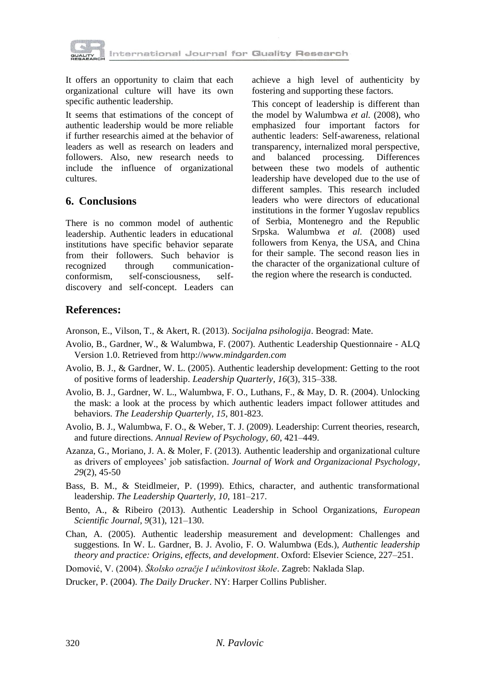

It offers an opportunity to claim that each organizational culture will have its own specific authentic leadership.

It seems that estimations of the concept of authentic leadership would be more reliable if further researchis aimed at the behavior of leaders as well as research on leaders and followers. Also, new research needs to include the influence of organizational cultures.

#### **6. Conclusions**

There is no common model of authentic leadership. Authentic leaders in educational institutions have specific behavior separate from their followers. Such behavior is recognized through communicationconformism, self-consciousness, selfdiscovery and self-concept. Leaders can

achieve a high level of authenticity by fostering and supporting these factors.

This concept of leadership is different than the model by Walumbwa *et al.* (2008), who emphasized four important factors for authentic leaders: Self-awareness, relational transparency, internalized moral perspective,<br>and balanced processing. Differences and balanced processing. Differences between these two models of authentic leadership have developed due to the use of different samples. This research included leaders who were directors of educational institutions in the former Yugoslav republics of Serbia, Montenegro and the Republic Srpska. Walumbwa *et al.* (2008) used followers from Kenya, the USA, and China for their sample. The second reason lies in the character of the organizational culture of the region where the research is conducted.

### **References:**

Aronson, E., Vilson, T., & Akert, R. (2013). *Socijalna psihologija*. Beograd: Mate.

- Avolio, B., Gardner, W., & Walumbwa, F. (2007). Authentic Leadership Questionnaire ALQ Version 1.0. Retrieved from http://*www.mindgarden.com*
- Avolio, B. J., & Gardner, W. L. (2005). Authentic leadership development: Getting to the root of positive forms of leadership. *Leadership Quarterly, 16*(3), 315–338.
- Avolio, B. J., Gardner, W. L., Walumbwa, F. O., Luthans, F., & May, D. R. (2004). Unlocking the mask: a look at the process by which authentic leaders impact follower attitudes and behaviors. *The Leadership Quarterly, 15*, 801-823.
- Avolio, B. J., Walumbwa, F. O., & Weber, T. J. (2009). Leadership: Current theories, research, and future directions. *Annual Review of Psychology, 60*, 421–449.
- Azanza, G., Moriano, J. A. & Moler, F. (2013). Authentic leadership and organizational culture as drivers of employees" job satisfaction. *Journal of Work and Organizacional Psychology, 29*(2), 45-50
- Bass, B. M., & Steidlmeier, P. (1999). Ethics, character, and authentic transformational leadership. *The Leadership Quarterly, 10*, 181–217.
- Bento, A., & Ribeiro (2013). Authentic Leadership in School Organizations, *European Scientific Journal, 9*(31), 121–130.
- Chan, A. (2005). Authentic leadership measurement and development: Challenges and suggestions*.* In W. L. Gardner, B. J. Avolio, F. O. Walumbwa (Eds.), *Authentic leadership theory and practice: Origins, effects, and development*. Oxford: Elsevier Science, 227–251.
- Domović, V. (2004). *Školsko ozračje I učinkovitost škole*. Zagreb: Naklada Slap.
- Drucker, P. (2004). *The Daily Drucker*. NY: Harper Collins Publisher.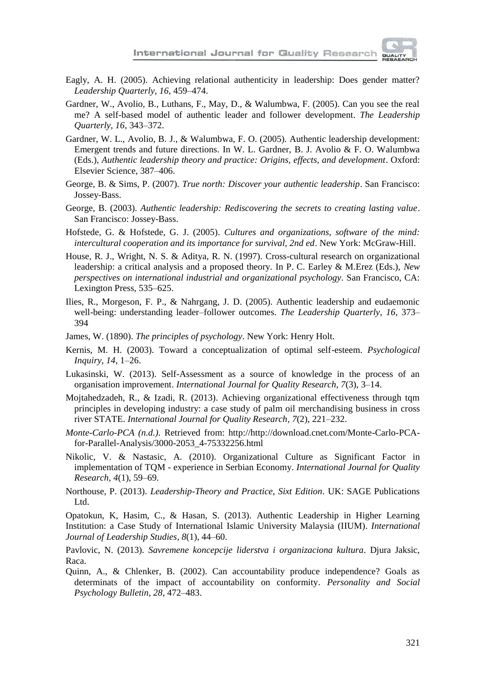

- Eagly, A. H. (2005). Achieving relational authenticity in leadership: Does gender matter? *Leadership Quarterly, 16*, 459–474.
- Gardner, W., Avolio, B., Luthans, F., May, D., & Walumbwa, F. (2005). Can you see the real me? A self-based model of authentic leader and follower development. *The Leadership Quarterly, 16*, 343–372.
- Gardner, W. L., Avolio, B. J., & Walumbwa, F. O. (2005)*.* Authentic leadership development: Emergent trends and future directions. In W. L. Gardner, B. J. Avolio & F. O. Walumbwa (Eds.), *Authentic leadership theory and practice: Origins, effects, and development*. Oxford: Elsevier Science, 387–406.
- George, B. & Sims, P. (2007). *True north: Discover your authentic leadership*. San Francisco: Jossey-Bass.
- George, B. (2003). *Authentic leadership: Rediscovering the secrets to creating lasting value*. San Francisco: Jossey-Bass.
- Hofstede, G. & Hofstede, G. J. (2005). *Cultures and organizations, software of the mind: intercultural cooperation and its importance for survival, 2nd ed*. New York: McGraw-Hill.
- House, R. J., Wright, N. S. & Aditya, R. N. (1997). Cross-cultural research on organizational leadership: a critical analysis and a proposed theory. In P. C. Earley & M.Erez (Eds.), *New perspectives on international industrial and organizational psychology.* San Francisco, CA: Lexington Press, 535–625.
- Ilies, R., Morgeson, F. P., & Nahrgang, J. D. (2005). Authentic leadership and eudaemonic well-being: understanding leader–follower outcomes. *The Leadership Quarterly*, *16*, 373– 394
- James, W. (1890). *The principles of psychology*. New York: Henry Holt.
- Kernis, M. H. (2003). Toward a conceptualization of optimal self-esteem. *Psychological Inquiry, 14*, 1–26.
- Lukasinski, W. (2013). Self-Assessment as a source of knowledge in the process of an organisation improvement. *International Journal for Quality Research, 7*(3), 3–14.
- Mojtahedzadeh, R., & Izadi, R. (2013). Achieving organizational effectiveness through tqm principles in developing industry: a case study of palm oil merchandising business in cross river STATE. *International Journal for Quality Research, 7*(2), 221–232.
- *Monte-Carlo-PCA (n.d.)*. Retrieved from: http://http://download.cnet.com/Monte-Carlo-PCAfor-Parallel-Analysis/3000-2053\_4-75332256.html
- Nikolic, V. & Nastasic, A. (2010). Organizational Culture as Significant Factor in implementation of TQM - experience in Serbian Economy. *International Journal for Quality Research*, *4*(1), 59–69.
- Northouse, P. (2013). *Leadership-Theory and Practice, Sixt Edition*. UK: SAGE Publications Ltd.

Opatokun, K, Hasim, C., & Hasan, S. (2013). Authentic Leadership in Higher Learning Institution: a Case Study of International Islamic University Malaysia (IIUM). *International Journal of Leadership Studies, 8*(1), 44–60.

Pavlovic, N. (2013). *Savremene koncepcije liderstva i organizaciona kultura*. Djura Jaksic, Raca.

Quinn, A., & Chlenker, B. (2002). Can accountability produce independence? Goals as determinats of the impact of accountability on conformity. *Personality and Social Psychology Bulletin, 28*, 472–483.